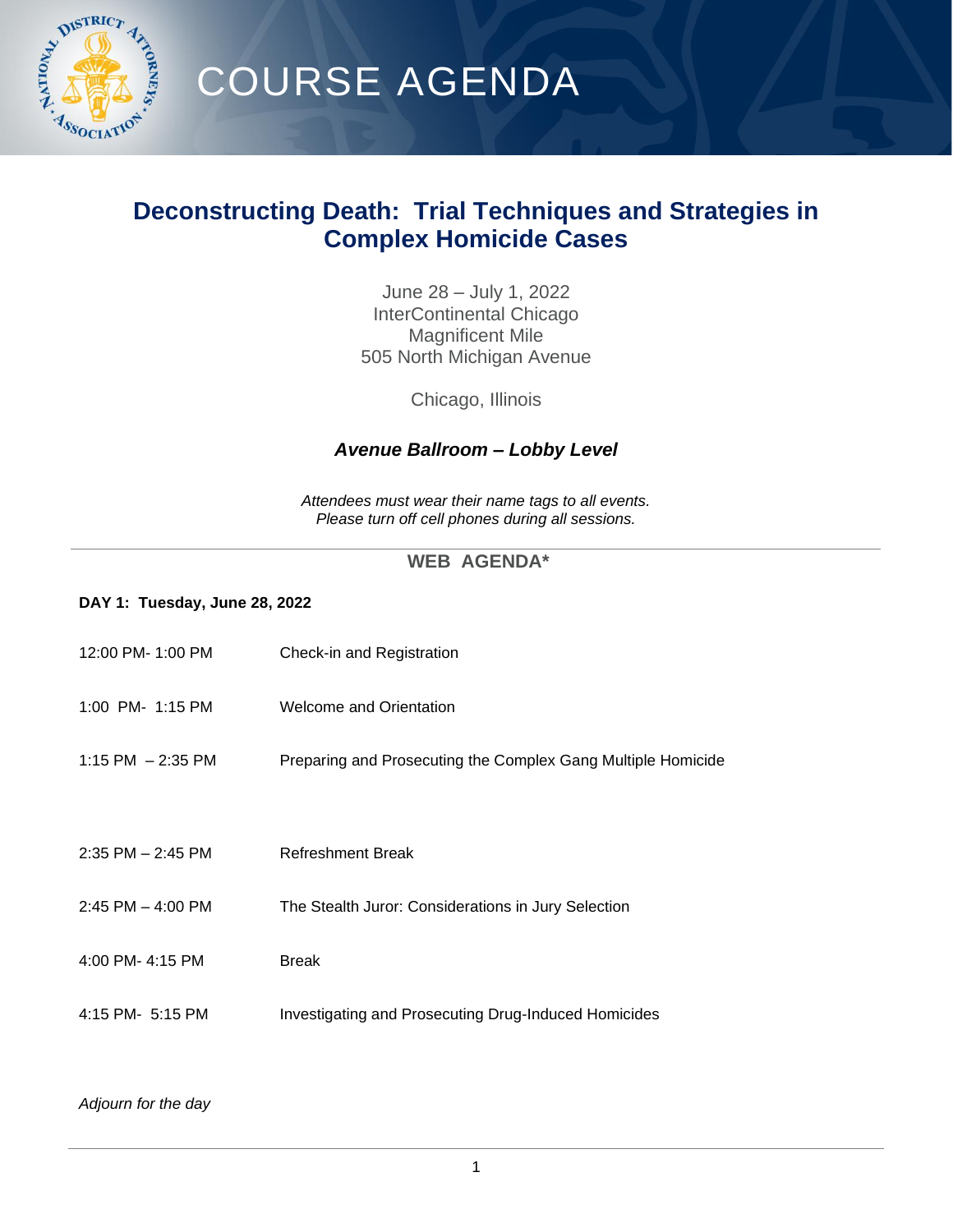

## COURSE AGENDA

## **Deconstructing Death: Trial Techniques and Strategies in Complex Homicide Cases**

June 28 – July 1, 2022 InterContinental Chicago Magnificent Mile 505 North Michigan Avenue

Chicago, Illinois

### *Avenue Ballroom – Lobby Level*

*Attendees must wear their name tags to all events. Please turn off cell phones during all sessions.*

### **WEB AGENDA\***

### **DAY 1: Tuesday, June 28, 2022**

| 12:00 PM- 1:00 PM     | Check-in and Registration                                    |
|-----------------------|--------------------------------------------------------------|
| 1:00 PM- 1:15 PM      | Welcome and Orientation                                      |
| 1:15 PM $-2:35$ PM    | Preparing and Prosecuting the Complex Gang Multiple Homicide |
|                       |                                                              |
| $2:35$ PM $- 2:45$ PM | <b>Refreshment Break</b>                                     |
| $2:45$ PM $-$ 4:00 PM | The Stealth Juror: Considerations in Jury Selection          |
| 4:00 PM- 4:15 PM      | <b>Break</b>                                                 |
| 4:15 PM- 5:15 PM      | <b>Investigating and Prosecuting Drug-Induced Homicides</b>  |
|                       |                                                              |

### *Adjourn for the day*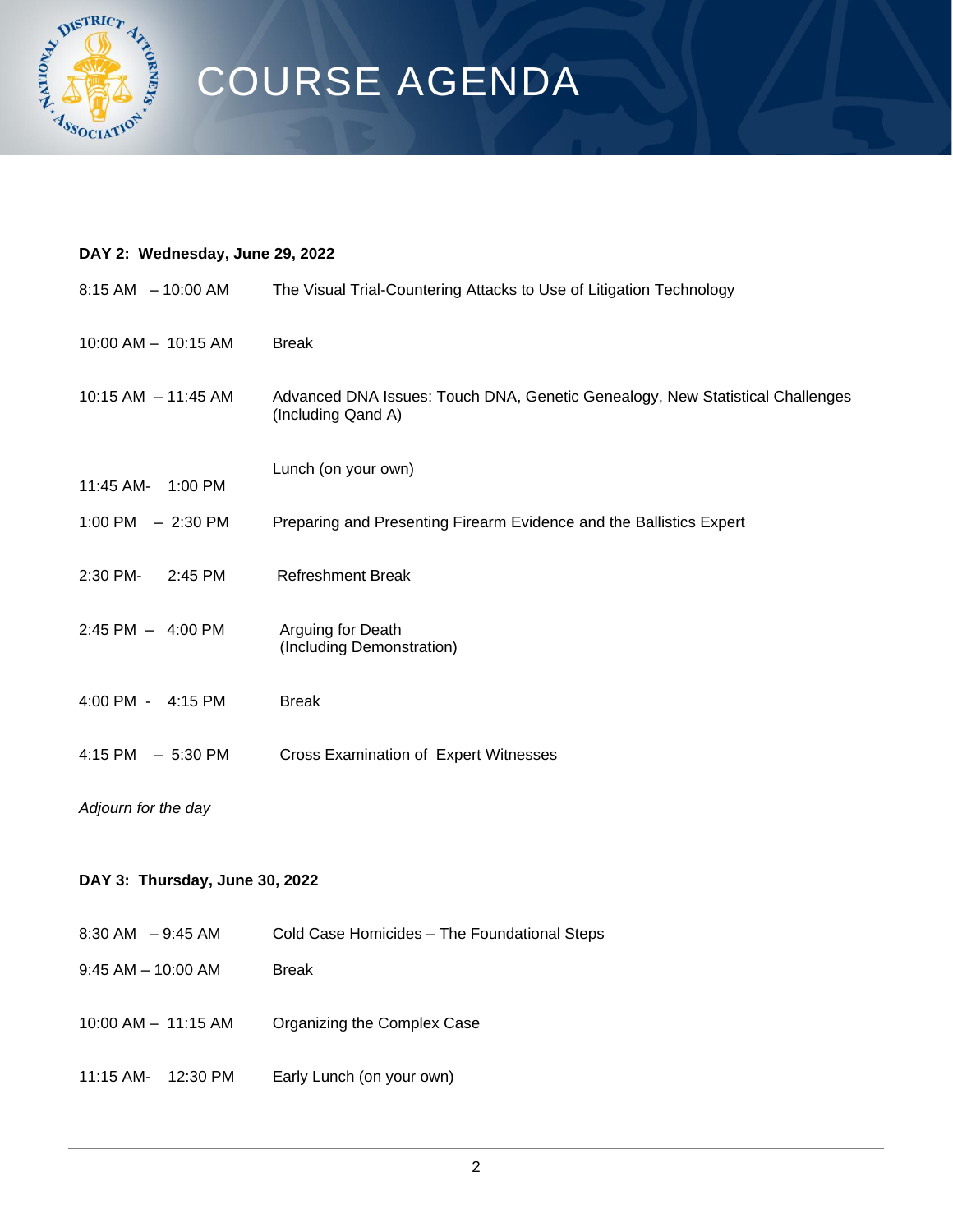

# COURSE AGENDA

## **DAY 2: Wednesday, June 29, 2022**

| 8:15 AM - 10:00 AM             | The Visual Trial-Countering Attacks to Use of Litigation Technology                                 |  |
|--------------------------------|-----------------------------------------------------------------------------------------------------|--|
| 10:00 AM - 10:15 AM            | <b>Break</b>                                                                                        |  |
| 10:15 AM - 11:45 AM            | Advanced DNA Issues: Touch DNA, Genetic Genealogy, New Statistical Challenges<br>(Including Qand A) |  |
| 11:45 AM-<br>1:00 PM           | Lunch (on your own)                                                                                 |  |
| 1:00 PM $-2:30$ PM             | Preparing and Presenting Firearm Evidence and the Ballistics Expert                                 |  |
| 2:30 PM-<br>2:45 PM            | <b>Refreshment Break</b>                                                                            |  |
| 2:45 PM - 4:00 PM              | Arguing for Death<br>(Including Demonstration)                                                      |  |
| 4:00 PM - 4:15 PM              | <b>Break</b>                                                                                        |  |
| $4:15$ PM $-5:30$ PM           | Cross Examination of Expert Witnesses                                                               |  |
| Adjourn for the day            |                                                                                                     |  |
| DAY 3: Thursday, June 30, 2022 |                                                                                                     |  |
| 8:30 AM - 9:45 AM              | Cold Case Homicides - The Foundational Steps                                                        |  |
| $9:45$ AM $-$ 10:00 AM         | <b>Break</b>                                                                                        |  |

- 10:00 AM 11:15 AM Organizing the Complex Case
- 11:15 AM- 12:30 PM Early Lunch (on your own)